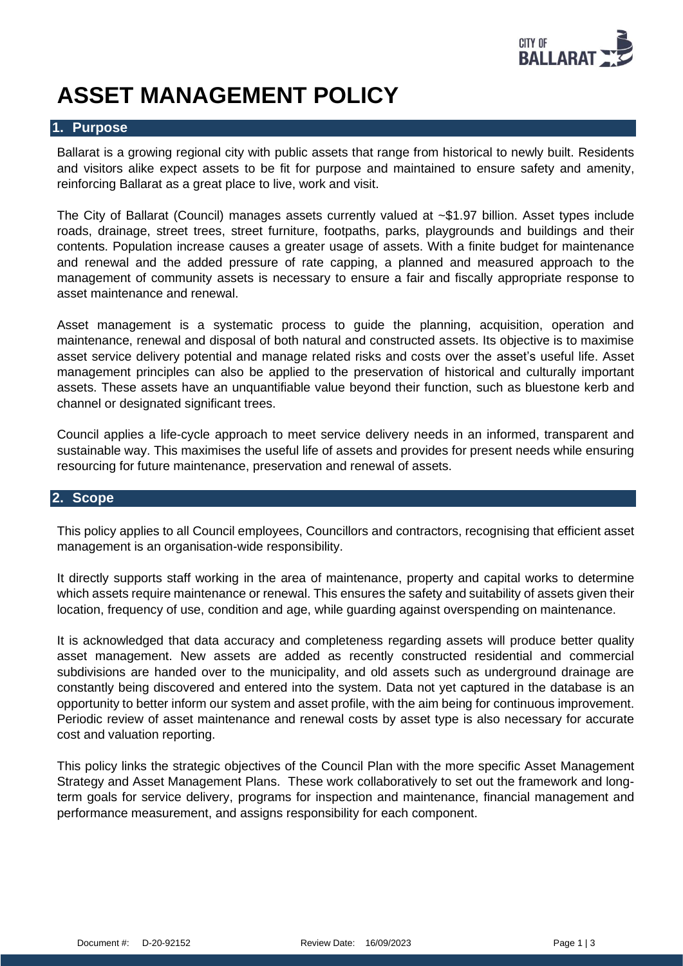

# **ASSET MANAGEMENT POLICY**

#### **1. Purpose**

Ballarat is a growing regional city with public assets that range from historical to newly built. Residents and visitors alike expect assets to be fit for purpose and maintained to ensure safety and amenity, reinforcing Ballarat as a great place to live, work and visit.

The City of Ballarat (Council) manages assets currently valued at ~\$1.97 billion. Asset types include roads, drainage, street trees, street furniture, footpaths, parks, playgrounds and buildings and their contents. Population increase causes a greater usage of assets. With a finite budget for maintenance and renewal and the added pressure of rate capping, a planned and measured approach to the management of community assets is necessary to ensure a fair and fiscally appropriate response to asset maintenance and renewal.

Asset management is a systematic process to guide the planning, acquisition, operation and maintenance, renewal and disposal of both natural and constructed assets. Its objective is to maximise asset service delivery potential and manage related risks and costs over the asset's useful life. Asset management principles can also be applied to the preservation of historical and culturally important assets. These assets have an unquantifiable value beyond their function, such as bluestone kerb and channel or designated significant trees.

Council applies a life-cycle approach to meet service delivery needs in an informed, transparent and sustainable way. This maximises the useful life of assets and provides for present needs while ensuring resourcing for future maintenance, preservation and renewal of assets.

# **2. Scope**

This policy applies to all Council employees, Councillors and contractors, recognising that efficient asset management is an organisation-wide responsibility.

It directly supports staff working in the area of maintenance, property and capital works to determine which assets require maintenance or renewal. This ensures the safety and suitability of assets given their location, frequency of use, condition and age, while guarding against overspending on maintenance.

It is acknowledged that data accuracy and completeness regarding assets will produce better quality asset management. New assets are added as recently constructed residential and commercial subdivisions are handed over to the municipality, and old assets such as underground drainage are constantly being discovered and entered into the system. Data not yet captured in the database is an opportunity to better inform our system and asset profile, with the aim being for continuous improvement. Periodic review of asset maintenance and renewal costs by asset type is also necessary for accurate cost and valuation reporting.

This policy links the strategic objectives of the Council Plan with the more specific Asset Management Strategy and Asset Management Plans. These work collaboratively to set out the framework and longterm goals for service delivery, programs for inspection and maintenance, financial management and performance measurement, and assigns responsibility for each component.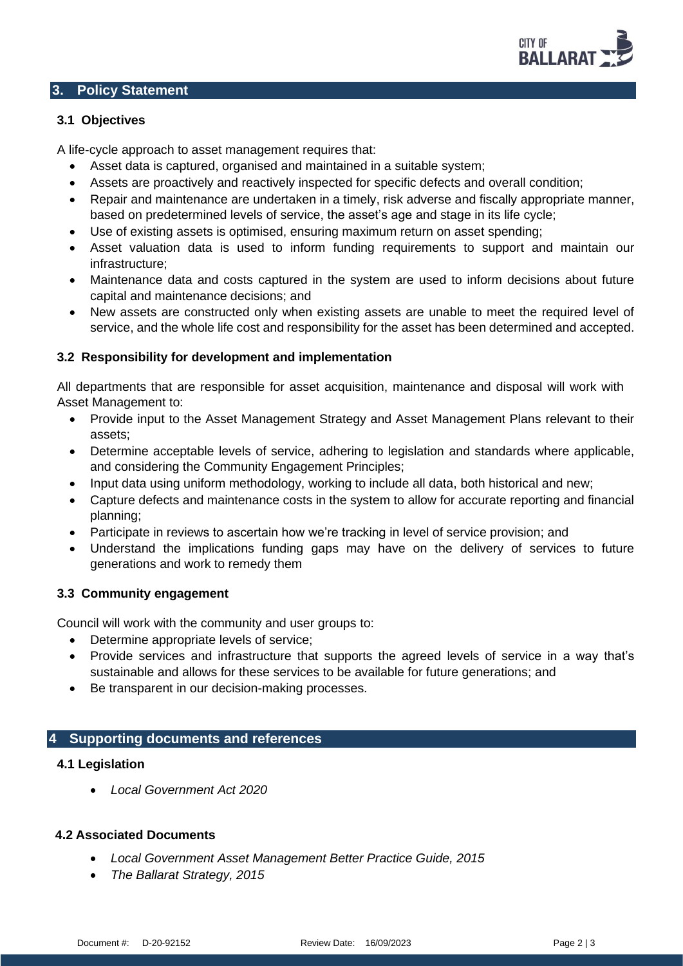

#### **3. Policy Statement**

### **3.1 Objectives**

A life-cycle approach to asset management requires that:

- Asset data is captured, organised and maintained in a suitable system;
- Assets are proactively and reactively inspected for specific defects and overall condition;
- Repair and maintenance are undertaken in a timely, risk adverse and fiscally appropriate manner, based on predetermined levels of service, the asset's age and stage in its life cycle;
- Use of existing assets is optimised, ensuring maximum return on asset spending;
- Asset valuation data is used to inform funding requirements to support and maintain our infrastructure;
- Maintenance data and costs captured in the system are used to inform decisions about future capital and maintenance decisions; and
- New assets are constructed only when existing assets are unable to meet the required level of service, and the whole life cost and responsibility for the asset has been determined and accepted.

#### **3.2 Responsibility for development and implementation**

All departments that are responsible for asset acquisition, maintenance and disposal will work with Asset Management to:

- Provide input to the Asset Management Strategy and Asset Management Plans relevant to their assets;
- Determine acceptable levels of service, adhering to legislation and standards where applicable, and considering the Community Engagement Principles;
- Input data using uniform methodology, working to include all data, both historical and new;
- Capture defects and maintenance costs in the system to allow for accurate reporting and financial planning;
- Participate in reviews to ascertain how we're tracking in level of service provision; and
- Understand the implications funding gaps may have on the delivery of services to future generations and work to remedy them

## **3.3 Community engagement**

Council will work with the community and user groups to:

- Determine appropriate levels of service;
- Provide services and infrastructure that supports the agreed levels of service in a way that's sustainable and allows for these services to be available for future generations; and
- Be transparent in our decision-making processes.

## **4 Supporting documents and references**

#### **4.1 Legislation**

• *Local Government Act 2020*

### **4.2 Associated Documents**

- *Local Government Asset Management Better Practice Guide, 2015*
- *The Ballarat Strategy, 2015*